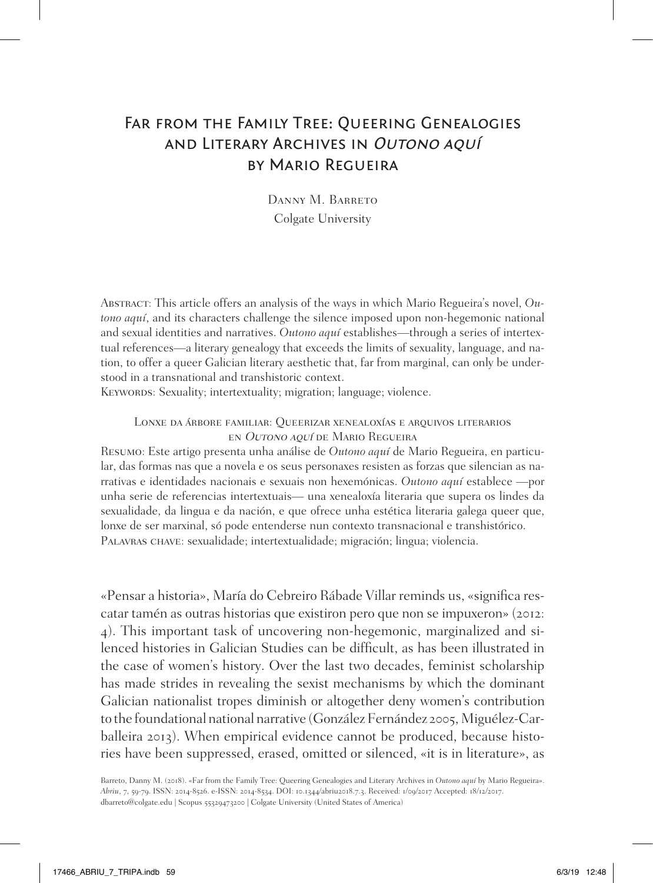# Far from the Family Tree: Queering Genealogies and Literary Archives in Outono aquí by Mario Regueira

Danny M. Barreto Colgate University

Abstract: This article offers an analysis of the ways in which Mario Regueira's novel, *Outono aquí*, and its characters challenge the silence imposed upon non-hegemonic national and sexual identities and narratives. *Outono aquí* establishes—through a series of intertextual references—a literary genealogy that exceeds the limits of sexuality, language, and nation, to offer a queer Galician literary aesthetic that, far from marginal, can only be understood in a transnational and transhistoric context.

KEYWORDS: Sexuality; intertextuality; migration; language; violence.

## LONXE DA ÁRBORE FAMILIAR: QUEERIZAR XENEALOXÍAS E ARQUIVOS LITERARIOS en Outono aquí de Mario Regueira

Resumo: Este artigo presenta unha análise de *Outono aquí* de Mario Regueira, en particular, das formas nas que a novela e os seus personaxes resisten as forzas que silencian as narrativas e identidades nacionais e sexuais non hexemónicas. *Outono aquí* establece —por unha serie de referencias intertextuais— una xenealoxía literaria que supera os lindes da sexualidade, da lingua e da nación, e que ofrece unha estética literaria galega queer que, lonxe de ser marxinal, só pode entenderse nun contexto transnacional e transhistórico. Palavras chave: sexualidade; intertextualidade; migración; lingua; violencia.

«Pensar a historia», María do Cebreiro Rábade Villar reminds us, «significa rescatar tamén as outras historias que existiron pero que non se impuxeron» (2012: 4). This important task of uncovering non-hegemonic, marginalized and silenced histories in Galician Studies can be difficult, as has been illustrated in the case of women's history. Over the last two decades, feminist scholarship has made strides in revealing the sexist mechanisms by which the dominant Galician nationalist tropes diminish or altogether deny women's contribution to the foundational national narrative (González Fernández 2005, Miguélez-Carballeira 2013). When empirical evidence cannot be produced, because histories have been suppressed, erased, omitted or silenced, «it is in literature», as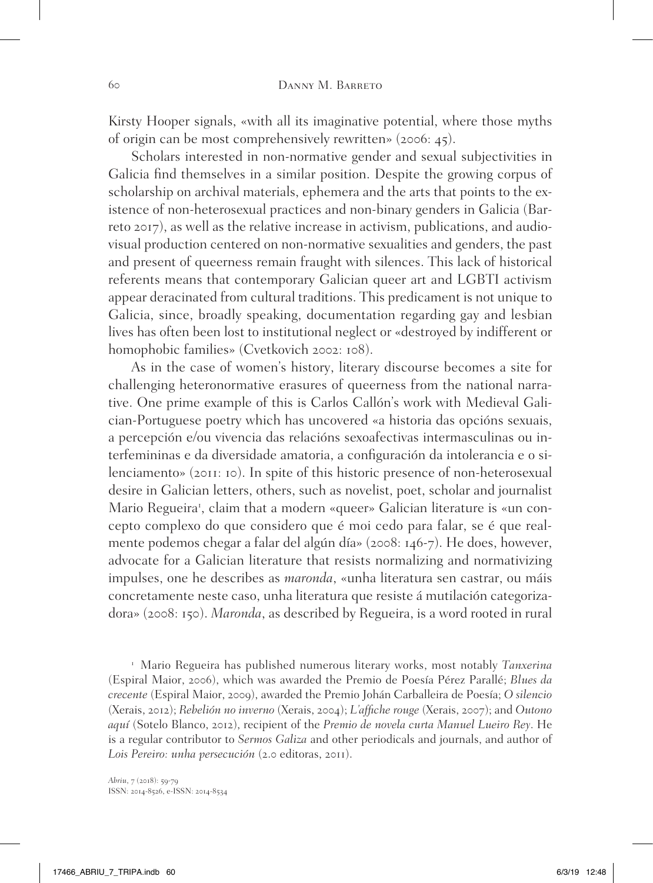Kirsty Hooper signals, «with all its imaginative potential, where those myths of origin can be most comprehensively rewritten» (2006: 45).

Scholars interested in non-normative gender and sexual subjectivities in Galicia find themselves in a similar position. Despite the growing corpus of scholarship on archival materials, ephemera and the arts that points to the existence of non-heterosexual practices and non-binary genders in Galicia (Barreto 2017), as well as the relative increase in activism, publications, and audiovisual production centered on non-normative sexualities and genders, the past and present of queerness remain fraught with silences. This lack of historical referents means that contemporary Galician queer art and LGBTI activism appear deracinated from cultural traditions. This predicament is not unique to Galicia, since, broadly speaking, documentation regarding gay and lesbian lives has often been lost to institutional neglect or «destroyed by indifferent or homophobic families» (Cvetkovich 2002: 108).

As in the case of women's history, literary discourse becomes a site for challenging heteronormative erasures of queerness from the national narrative. One prime example of this is Carlos Callón's work with Medieval Galician-Portuguese poetry which has uncovered «a historia das opcións sexuais, a percepción e/ou vivencia das relacións sexoafectivas intermasculinas ou interfemininas e da diversidade amatoria, a configuración da intolerancia e o silenciamento» (2011: 10). In spite of this historic presence of non-heterosexual desire in Galician letters, others, such as novelist, poet, scholar and journalist Mario Regueira<sup>1</sup>, claim that a modern «queer» Galician literature is «un concepto complexo do que considero que é moi cedo para falar, se é que realmente podemos chegar a falar del algún día» (2008: 146-7). He does, however, advocate for a Galician literature that resists normalizing and normativizing impulses, one he describes as *maronda*, «unha literatura sen castrar, ou máis concretamente neste caso, unha literatura que resiste á mutilación categorizadora» (2008: 150). *Maronda*, as described by Regueira, is a word rooted in rural

<sup>1</sup> Mario Regueira has published numerous literary works, most notably *Tanxerina* (Espiral Maior, 2006), which was awarded the Premio de Poesía Pérez Parallé; *Blues da crecente* (Espiral Maior, 2009), awarded the Premio Johán Carballeira de Poesía; *O silencio* (Xerais, 2012); *Rebelión no inverno* (Xerais, 2004); *L'affiche rouge* (Xerais, 2007); and *Outono aquí* (Sotelo Blanco, 2012), recipient of the *Premio de novela curta Manuel Lueiro Rey*. He is a regular contributor to *Sermos Galiza* and other periodicals and journals, and author of *Lois Pereiro: unha persecución* (2.0 editoras, 2011).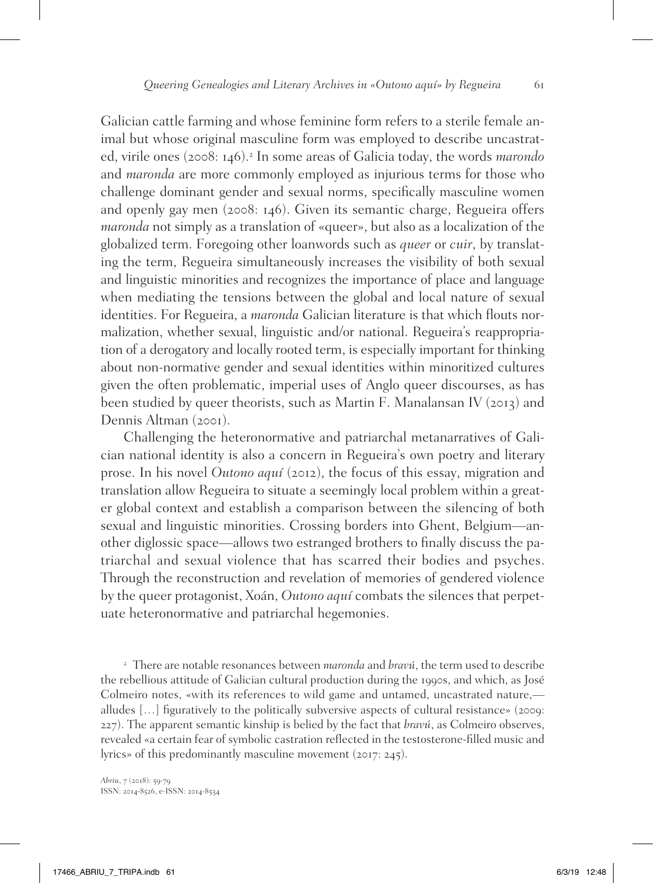Galician cattle farming and whose feminine form refers to a sterile female animal but whose original masculine form was employed to describe uncastrated, virile ones (2008: 146).<sup>2</sup> In some areas of Galicia today, the words *marondo*  and *maronda* are more commonly employed as injurious terms for those who challenge dominant gender and sexual norms, specifically masculine women and openly gay men (2008: 146). Given its semantic charge, Regueira offers *maronda* not simply as a translation of «queer», but also as a localization of the globalized term. Foregoing other loanwords such as *queer* or *cuir*, by translating the term, Regueira simultaneously increases the visibility of both sexual and linguistic minorities and recognizes the importance of place and language when mediating the tensions between the global and local nature of sexual identities. For Regueira, a *maronda* Galician literature is that which flouts normalization, whether sexual, linguistic and/or national. Regueira's reappropriation of a derogatory and locally rooted term, is especially important for thinking about non-normative gender and sexual identities within minoritized cultures given the often problematic, imperial uses of Anglo queer discourses, as has been studied by queer theorists, such as Martin F. Manalansan IV (2013) and Dennis Altman (2001).

Challenging the heteronormative and patriarchal metanarratives of Galician national identity is also a concern in Regueira's own poetry and literary prose. In his novel *Outono aquí* (2012), the focus of this essay, migration and translation allow Regueira to situate a seemingly local problem within a greater global context and establish a comparison between the silencing of both sexual and linguistic minorities. Crossing borders into Ghent, Belgium—another diglossic space—allows two estranged brothers to finally discuss the patriarchal and sexual violence that has scarred their bodies and psyches. Through the reconstruction and revelation of memories of gendered violence by the queer protagonist, Xoán, *Outono aquí* combats the silences that perpetuate heteronormative and patriarchal hegemonies.

<sup>2</sup> There are notable resonances between *maronda* and *bravú*, the term used to describe the rebellious attitude of Galician cultural production during the 1990s, and which, as José Colmeiro notes, «with its references to wild game and untamed, uncastrated nature, alludes […] figuratively to the politically subversive aspects of cultural resistance» (2009: 227). The apparent semantic kinship is belied by the fact that *bravú*, as Colmeiro observes, revealed «a certain fear of symbolic castration reflected in the testosterone-filled music and lyrics» of this predominantly masculine movement (2017: 245).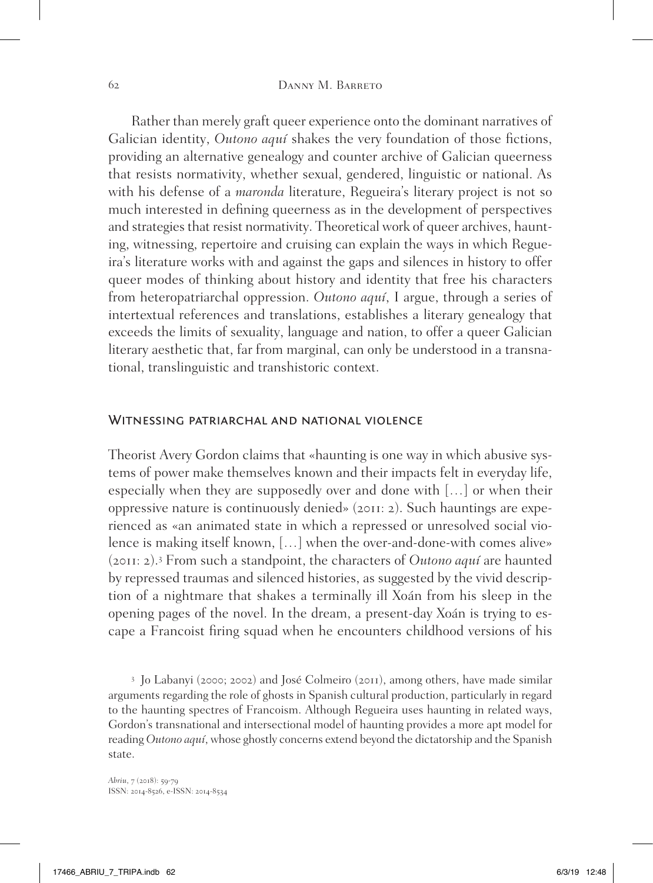Rather than merely graft queer experience onto the dominant narratives of Galician identity, *Outono aquí* shakes the very foundation of those fictions, providing an alternative genealogy and counter archive of Galician queerness that resists normativity, whether sexual, gendered, linguistic or national. As with his defense of a *maronda* literature, Regueira's literary project is not so much interested in defining queerness as in the development of perspectives and strategies that resist normativity. Theoretical work of queer archives, haunting, witnessing, repertoire and cruising can explain the ways in which Regueira's literature works with and against the gaps and silences in history to offer queer modes of thinking about history and identity that free his characters from heteropatriarchal oppression. *Outono aquí*, I argue, through a series of intertextual references and translations, establishes a literary genealogy that exceeds the limits of sexuality, language and nation, to offer a queer Galician literary aesthetic that, far from marginal, can only be understood in a transnational, translinguistic and transhistoric context.

#### WITNESSING PATRIARCHAL AND NATIONAL VIOLENCE

Theorist Avery Gordon claims that «haunting is one way in which abusive systems of power make themselves known and their impacts felt in everyday life, especially when they are supposedly over and done with […] or when their oppressive nature is continuously denied» (2011: 2). Such hauntings are experienced as «an animated state in which a repressed or unresolved social violence is making itself known, [...] when the over-and-done-with comes alive» (2011: 2).<sup>3</sup> From such a standpoint, the characters of *Outono aquí* are haunted by repressed traumas and silenced histories, as suggested by the vivid description of a nightmare that shakes a terminally ill Xoán from his sleep in the opening pages of the novel. In the dream, a present-day Xoán is trying to escape a Francoist firing squad when he encounters childhood versions of his

<sup>3</sup> Jo Labanyi (2000; 2002) and José Colmeiro (2011), among others, have made similar arguments regarding the role of ghosts in Spanish cultural production, particularly in regard to the haunting spectres of Francoism. Although Regueira uses haunting in related ways, Gordon's transnational and intersectional model of haunting provides a more apt model for reading *Outono aquí*, whose ghostly concerns extend beyond the dictatorship and the Spanish state.

*Abriu*, 7 (2018): 59-79 ISSN: 2014-8526, e-ISSN: 2014-8534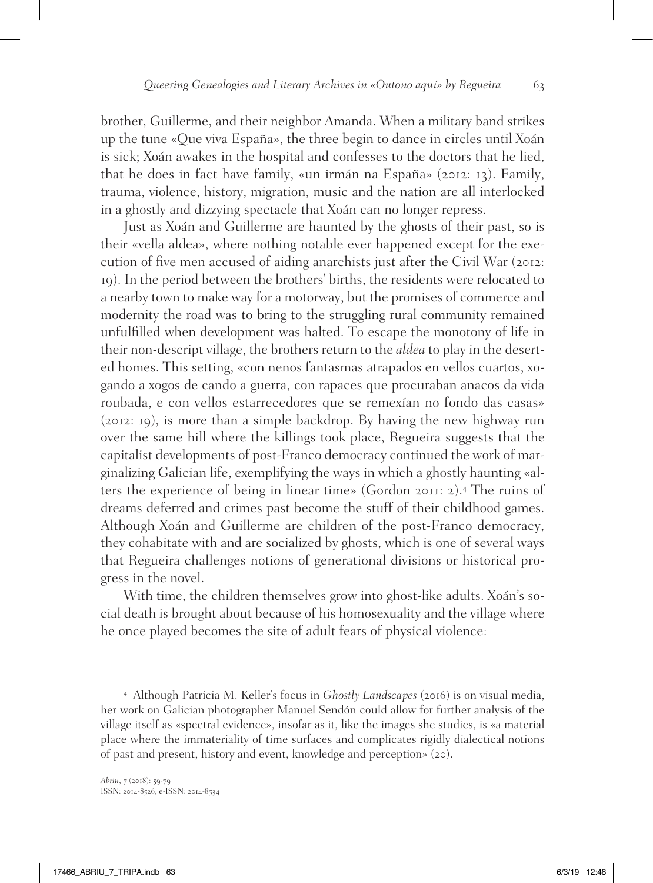brother, Guillerme, and their neighbor Amanda. When a military band strikes up the tune «Que viva España», the three begin to dance in circles until Xoán is sick; Xoán awakes in the hospital and confesses to the doctors that he lied, that he does in fact have family, «un irmán na España» (2012: 13). Family, trauma, violence, history, migration, music and the nation are all interlocked in a ghostly and dizzying spectacle that Xoán can no longer repress.

Just as Xoán and Guillerme are haunted by the ghosts of their past, so is their «vella aldea», where nothing notable ever happened except for the execution of five men accused of aiding anarchists just after the Civil War (2012: 19). In the period between the brothers' births, the residents were relocated to a nearby town to make way for a motorway, but the promises of commerce and modernity the road was to bring to the struggling rural community remained unfulfilled when development was halted. To escape the monotony of life in their non-descript village, the brothers return to the *aldea* to play in the deserted homes. This setting, «con nenos fantasmas atrapados en vellos cuartos, xogando a xogos de cando a guerra, con rapaces que procuraban anacos da vida roubada, e con vellos estarrecedores que se remexían no fondo das casas» (2012: 19), is more than a simple backdrop. By having the new highway run over the same hill where the killings took place, Regueira suggests that the capitalist developments of post-Franco democracy continued the work of marginalizing Galician life, exemplifying the ways in which a ghostly haunting «alters the experience of being in linear time» (Gordon 2011: 2).<sup>4</sup> The ruins of dreams deferred and crimes past become the stuff of their childhood games. Although Xoán and Guillerme are children of the post-Franco democracy, they cohabitate with and are socialized by ghosts, which is one of several ways that Regueira challenges notions of generational divisions or historical progress in the novel.

With time, the children themselves grow into ghost-like adults. Xoán's social death is brought about because of his homosexuality and the village where he once played becomes the site of adult fears of physical violence:

<sup>4</sup> Although Patricia M. Keller's focus in *Ghostly Landscapes* (2016) is on visual media, her work on Galician photographer Manuel Sendón could allow for further analysis of the village itself as «spectral evidence», insofar as it, like the images she studies, is «a material place where the immateriality of time surfaces and complicates rigidly dialectical notions of past and present, history and event, knowledge and perception» (20).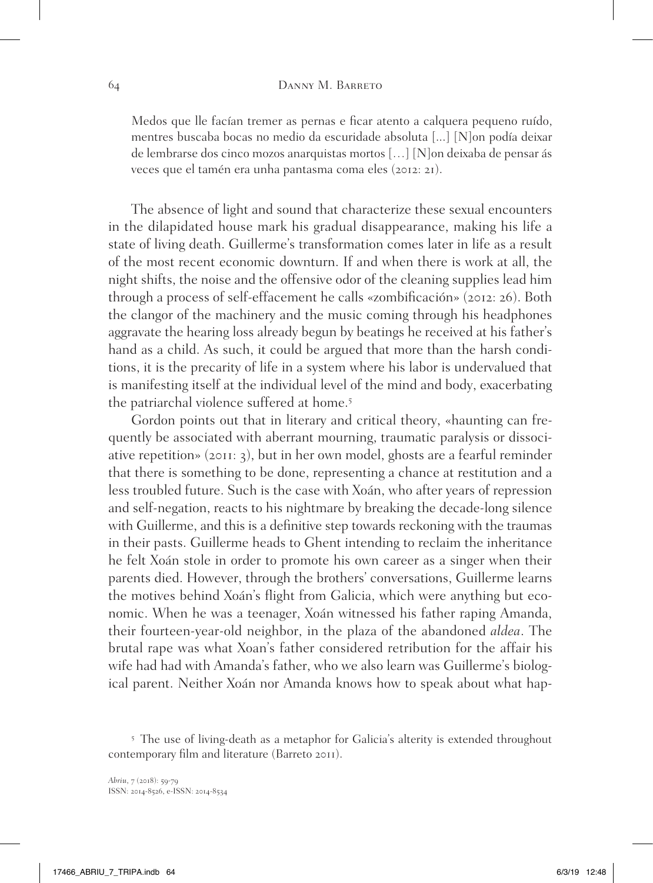Medos que lle facían tremer as pernas e ficar atento a calquera pequeno ruído, mentres buscaba bocas no medio da escuridade absoluta [...] [N]on podía deixar de lembrarse dos cinco mozos anarquistas mortos […] [N]on deixaba de pensar ás veces que el tamén era unha pantasma coma eles (2012: 21).

The absence of light and sound that characterize these sexual encounters in the dilapidated house mark his gradual disappearance, making his life a state of living death. Guillerme's transformation comes later in life as a result of the most recent economic downturn. If and when there is work at all, the night shifts, the noise and the offensive odor of the cleaning supplies lead him through a process of self-effacement he calls «zombificación» (2012: 26). Both the clangor of the machinery and the music coming through his headphones aggravate the hearing loss already begun by beatings he received at his father's hand as a child. As such, it could be argued that more than the harsh conditions, it is the precarity of life in a system where his labor is undervalued that is manifesting itself at the individual level of the mind and body, exacerbating the patriarchal violence suffered at home.<sup>5</sup>

Gordon points out that in literary and critical theory, «haunting can frequently be associated with aberrant mourning, traumatic paralysis or dissociative repetition» (2011: 3), but in her own model, ghosts are a fearful reminder that there is something to be done, representing a chance at restitution and a less troubled future. Such is the case with Xoán, who after years of repression and self-negation, reacts to his nightmare by breaking the decade-long silence with Guillerme, and this is a definitive step towards reckoning with the traumas in their pasts. Guillerme heads to Ghent intending to reclaim the inheritance he felt Xoán stole in order to promote his own career as a singer when their parents died. However, through the brothers' conversations, Guillerme learns the motives behind Xoán's flight from Galicia, which were anything but economic. When he was a teenager, Xoán witnessed his father raping Amanda, their fourteen-year-old neighbor, in the plaza of the abandoned *aldea*. The brutal rape was what Xoan's father considered retribution for the affair his wife had had with Amanda's father, who we also learn was Guillerme's biological parent. Neither Xoán nor Amanda knows how to speak about what hap-

<sup>5</sup> The use of living-death as a metaphor for Galicia's alterity is extended throughout contemporary film and literature (Barreto 2011).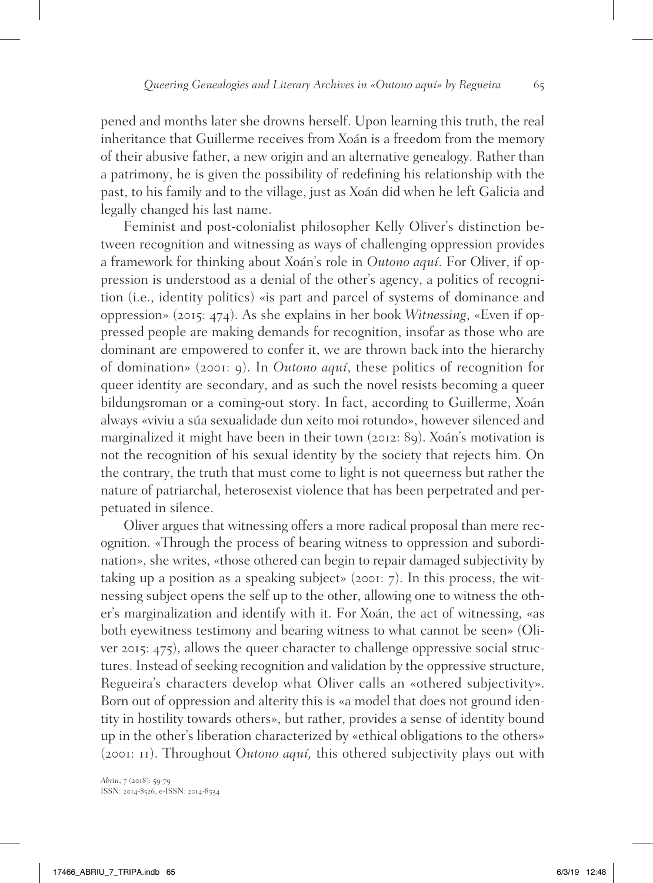pened and months later she drowns herself. Upon learning this truth, the real inheritance that Guillerme receives from Xoán is a freedom from the memory of their abusive father, a new origin and an alternative genealogy. Rather than a patrimony, he is given the possibility of redefining his relationship with the past, to his family and to the village, just as Xoán did when he left Galicia and legally changed his last name.

Feminist and post-colonialist philosopher Kelly Oliver's distinction between recognition and witnessing as ways of challenging oppression provides a framework for thinking about Xoán's role in *Outono aquí*. For Oliver, if oppression is understood as a denial of the other's agency, a politics of recognition (i.e., identity politics) «is part and parcel of systems of dominance and oppression» (2015: 474). As she explains in her book *Witnessing*, «Even if oppressed people are making demands for recognition, insofar as those who are dominant are empowered to confer it, we are thrown back into the hierarchy of domination» (2001: 9). In *Outono aquí*, these politics of recognition for queer identity are secondary, and as such the novel resists becoming a queer bildungsroman or a coming-out story. In fact, according to Guillerme, Xoán always «viviu a súa sexualidade dun xeito moi rotundo», however silenced and marginalized it might have been in their town (2012: 89). Xoán's motivation is not the recognition of his sexual identity by the society that rejects him. On the contrary, the truth that must come to light is not queerness but rather the nature of patriarchal, heterosexist violence that has been perpetrated and perpetuated in silence.

Oliver argues that witnessing offers a more radical proposal than mere recognition. «Through the process of bearing witness to oppression and subordination», she writes, «those othered can begin to repair damaged subjectivity by taking up a position as a speaking subject» (2001: 7). In this process, the witnessing subject opens the self up to the other, allowing one to witness the other's marginalization and identify with it. For Xoán, the act of witnessing, «as both eyewitness testimony and bearing witness to what cannot be seen» (Oliver 2015: 475), allows the queer character to challenge oppressive social structures. Instead of seeking recognition and validation by the oppressive structure, Regueira's characters develop what Oliver calls an «othered subjectivity». Born out of oppression and alterity this is «a model that does not ground identity in hostility towards others», but rather, provides a sense of identity bound up in the other's liberation characterized by «ethical obligations to the others» (2001: 11). Throughout *Outono aquí,* this othered subjectivity plays out with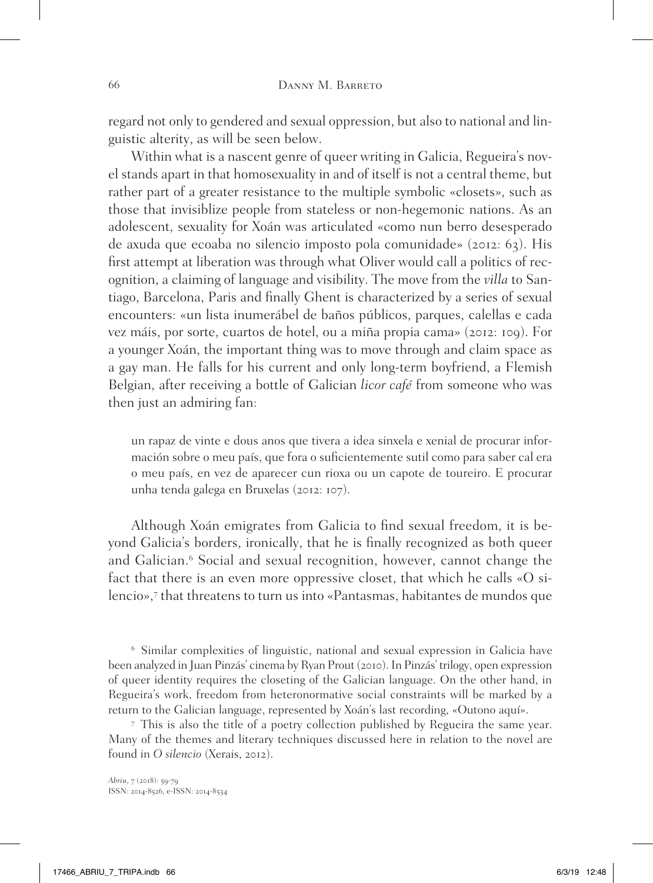regard not only to gendered and sexual oppression, but also to national and linguistic alterity, as will be seen below.

Within what is a nascent genre of queer writing in Galicia, Regueira's novel stands apart in that homosexuality in and of itself is not a central theme, but rather part of a greater resistance to the multiple symbolic «closets», such as those that invisiblize people from stateless or non-hegemonic nations. As an adolescent, sexuality for Xoán was articulated «como nun berro desesperado de axuda que ecoaba no silencio imposto pola comunidade» (2012: 63). His first attempt at liberation was through what Oliver would call a politics of recognition, a claiming of language and visibility. The move from the *villa* to Santiago, Barcelona, Paris and finally Ghent is characterized by a series of sexual encounters: «un lista inumerábel de baños públicos, parques, calellas e cada vez máis, por sorte, cuartos de hotel, ou a miña propia cama» (2012: 109). For a younger Xoán, the important thing was to move through and claim space as a gay man. He falls for his current and only long-term boyfriend, a Flemish Belgian, after receiving a bottle of Galician *licor café* from someone who was then just an admiring fan:

un rapaz de vinte e dous anos que tivera a idea sinxela e xenial de procurar información sobre o meu país, que fora o suficientemente sutil como para saber cal era o meu país, en vez de aparecer cun rioxa ou un capote de toureiro. E procurar unha tenda galega en Bruxelas (2012: 107).

Although Xoán emigrates from Galicia to find sexual freedom, it is beyond Galicia's borders, ironically, that he is finally recognized as both queer and Galician.<sup>6</sup> Social and sexual recognition, however, cannot change the fact that there is an even more oppressive closet, that which he calls «O silencio»,<sup>7</sup> that threatens to turn us into «Pantasmas, habitantes de mundos que

<sup>6</sup> Similar complexities of linguistic, national and sexual expression in Galicia have been analyzed in Juan Pinzás' cinema by Ryan Prout (2010). In Pinzás' trilogy, open expression of queer identity requires the closeting of the Galician language. On the other hand, in Regueira's work, freedom from heteronormative social constraints will be marked by a return to the Galician language, represented by Xoán's last recording, «Outono aquí».

<sup>7</sup> This is also the title of a poetry collection published by Regueira the same year. Many of the themes and literary techniques discussed here in relation to the novel are found in *O silencio* (Xerais, 2012).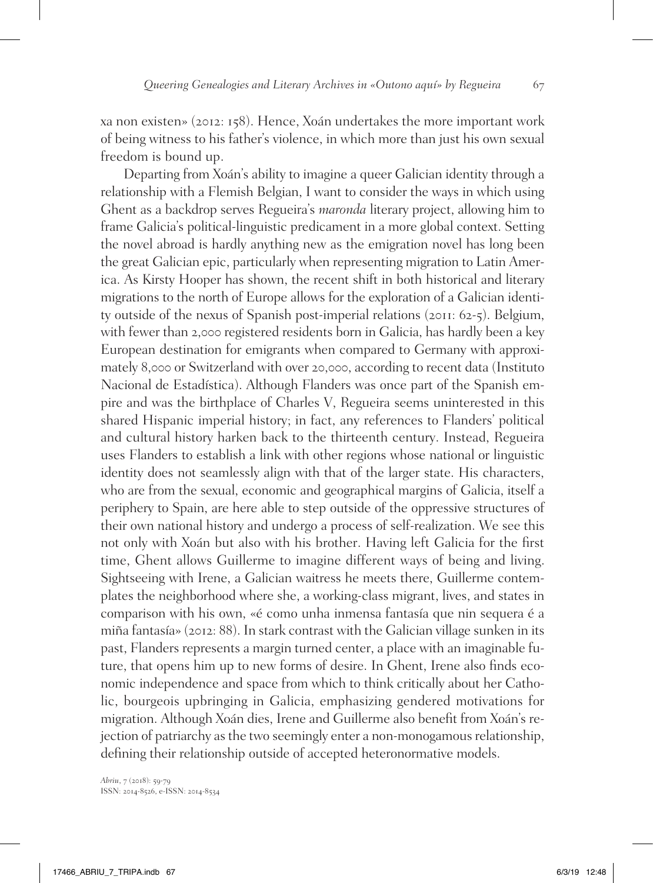xa non existen» (2012: 158). Hence, Xoán undertakes the more important work of being witness to his father's violence, in which more than just his own sexual freedom is bound up.

Departing from Xoán's ability to imagine a queer Galician identity through a relationship with a Flemish Belgian, I want to consider the ways in which using Ghent as a backdrop serves Regueira's *maronda* literary project, allowing him to frame Galicia's political-linguistic predicament in a more global context. Setting the novel abroad is hardly anything new as the emigration novel has long been the great Galician epic, particularly when representing migration to Latin America. As Kirsty Hooper has shown, the recent shift in both historical and literary migrations to the north of Europe allows for the exploration of a Galician identity outside of the nexus of Spanish post-imperial relations (2011: 62-5). Belgium, with fewer than 2,000 registered residents born in Galicia, has hardly been a key European destination for emigrants when compared to Germany with approximately 8,000 or Switzerland with over 20,000, according to recent data (Instituto Nacional de Estadística). Although Flanders was once part of the Spanish empire and was the birthplace of Charles V, Regueira seems uninterested in this shared Hispanic imperial history; in fact, any references to Flanders' political and cultural history harken back to the thirteenth century. Instead, Regueira uses Flanders to establish a link with other regions whose national or linguistic identity does not seamlessly align with that of the larger state. His characters, who are from the sexual, economic and geographical margins of Galicia, itself a periphery to Spain, are here able to step outside of the oppressive structures of their own national history and undergo a process of self-realization. We see this not only with Xoán but also with his brother. Having left Galicia for the first time, Ghent allows Guillerme to imagine different ways of being and living. Sightseeing with Irene, a Galician waitress he meets there, Guillerme contemplates the neighborhood where she, a working-class migrant, lives, and states in comparison with his own, «é como unha inmensa fantasía que nin sequera é a miña fantasía» (2012: 88). In stark contrast with the Galician village sunken in its past, Flanders represents a margin turned center, a place with an imaginable future, that opens him up to new forms of desire. In Ghent, Irene also finds economic independence and space from which to think critically about her Catholic, bourgeois upbringing in Galicia, emphasizing gendered motivations for migration. Although Xoán dies, Irene and Guillerme also benefit from Xoán's rejection of patriarchy as the two seemingly enter a non-monogamous relationship, defining their relationship outside of accepted heteronormative models.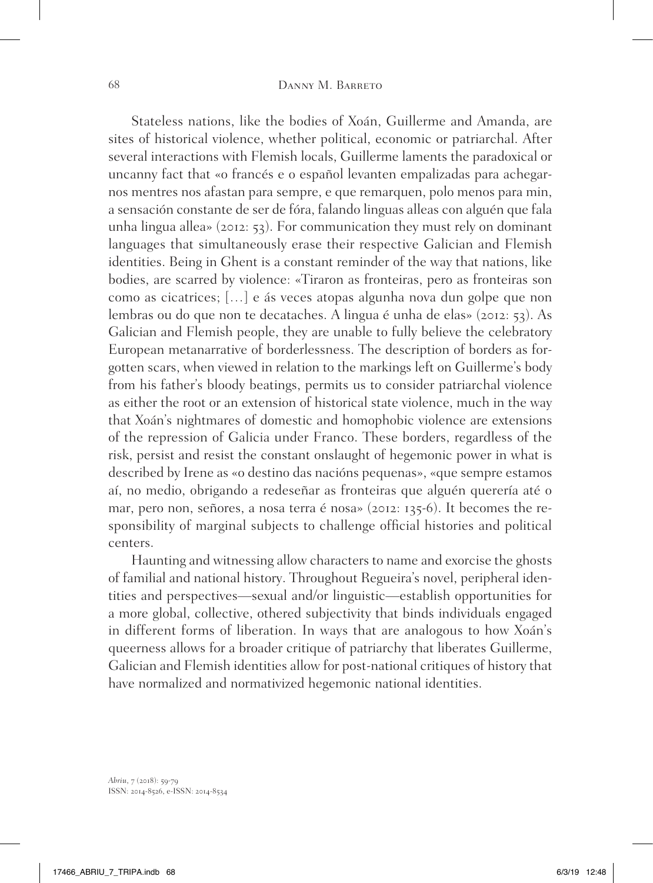Stateless nations, like the bodies of Xoán, Guillerme and Amanda, are sites of historical violence, whether political, economic or patriarchal. After several interactions with Flemish locals, Guillerme laments the paradoxical or uncanny fact that «o francés e o español levanten empalizadas para achegarnos mentres nos afastan para sempre, e que remarquen, polo menos para min, a sensación constante de ser de fóra, falando linguas alleas con alguén que fala unha lingua allea» (2012: 53). For communication they must rely on dominant languages that simultaneously erase their respective Galician and Flemish identities. Being in Ghent is a constant reminder of the way that nations, like bodies, are scarred by violence: «Tiraron as fronteiras, pero as fronteiras son como as cicatrices; […] e ás veces atopas algunha nova dun golpe que non lembras ou do que non te decataches. A lingua é unha de elas» (2012: 53). As Galician and Flemish people, they are unable to fully believe the celebratory European metanarrative of borderlessness. The description of borders as forgotten scars, when viewed in relation to the markings left on Guillerme's body from his father's bloody beatings, permits us to consider patriarchal violence as either the root or an extension of historical state violence, much in the way that Xoán's nightmares of domestic and homophobic violence are extensions of the repression of Galicia under Franco. These borders, regardless of the risk, persist and resist the constant onslaught of hegemonic power in what is described by Irene as «o destino das nacións pequenas», «que sempre estamos aí, no medio, obrigando a redeseñar as fronteiras que alguén querería até o mar, pero non, señores, a nosa terra é nosa» (2012: 135-6). It becomes the responsibility of marginal subjects to challenge official histories and political centers.

Haunting and witnessing allow characters to name and exorcise the ghosts of familial and national history. Throughout Regueira's novel, peripheral identities and perspectives—sexual and/or linguistic—establish opportunities for a more global, collective, othered subjectivity that binds individuals engaged in different forms of liberation. In ways that are analogous to how Xoán's queerness allows for a broader critique of patriarchy that liberates Guillerme, Galician and Flemish identities allow for post-national critiques of history that have normalized and normativized hegemonic national identities.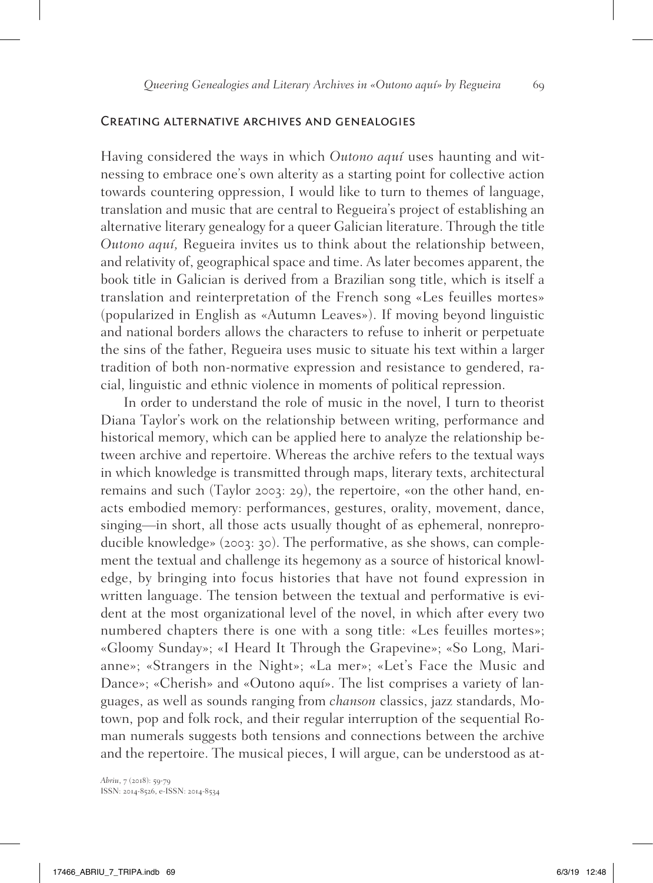### Creating alternative archives and genealogies

Having considered the ways in which *Outono aquí* uses haunting and witnessing to embrace one's own alterity as a starting point for collective action towards countering oppression, I would like to turn to themes of language, translation and music that are central to Regueira's project of establishing an alternative literary genealogy for a queer Galician literature. Through the title *Outono aquí,* Regueira invites us to think about the relationship between, and relativity of, geographical space and time. As later becomes apparent, the book title in Galician is derived from a Brazilian song title, which is itself a translation and reinterpretation of the French song «Les feuilles mortes» (popularized in English as «Autumn Leaves»). If moving beyond linguistic and national borders allows the characters to refuse to inherit or perpetuate the sins of the father, Regueira uses music to situate his text within a larger tradition of both non-normative expression and resistance to gendered, racial, linguistic and ethnic violence in moments of political repression.

In order to understand the role of music in the novel, I turn to theorist Diana Taylor's work on the relationship between writing, performance and historical memory, which can be applied here to analyze the relationship between archive and repertoire. Whereas the archive refers to the textual ways in which knowledge is transmitted through maps, literary texts, architectural remains and such (Taylor 2003: 29), the repertoire, «on the other hand, enacts embodied memory: performances, gestures, orality, movement, dance, singing—in short, all those acts usually thought of as ephemeral, nonreproducible knowledge» (2003: 30). The performative, as she shows, can complement the textual and challenge its hegemony as a source of historical knowledge, by bringing into focus histories that have not found expression in written language. The tension between the textual and performative is evident at the most organizational level of the novel, in which after every two numbered chapters there is one with a song title: «Les feuilles mortes»; «Gloomy Sunday»; «I Heard It Through the Grapevine»; «So Long, Marianne»; «Strangers in the Night»; «La mer»; «Let's Face the Music and Dance»; «Cherish» and «Outono aquí». The list comprises a variety of languages, as well as sounds ranging from *chanson* classics, jazz standards, Motown, pop and folk rock, and their regular interruption of the sequential Roman numerals suggests both tensions and connections between the archive and the repertoire. The musical pieces, I will argue, can be understood as at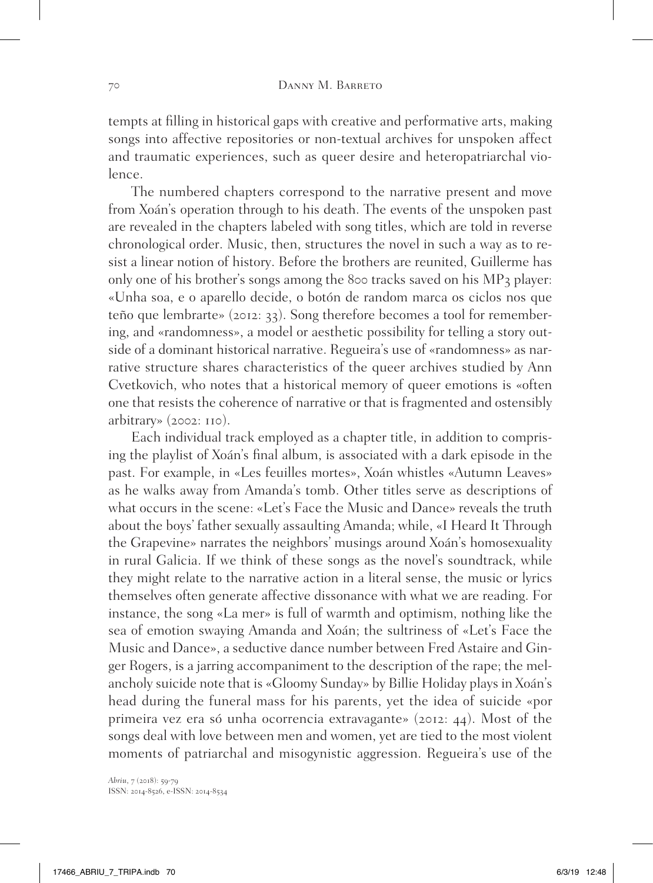tempts at filling in historical gaps with creative and performative arts, making songs into affective repositories or non-textual archives for unspoken affect and traumatic experiences, such as queer desire and heteropatriarchal violence.

The numbered chapters correspond to the narrative present and move from Xoán's operation through to his death. The events of the unspoken past are revealed in the chapters labeled with song titles, which are told in reverse chronological order. Music, then, structures the novel in such a way as to resist a linear notion of history. Before the brothers are reunited, Guillerme has only one of his brother's songs among the 800 tracks saved on his MP3 player: «Unha soa, e o aparello decide, o botón de random marca os ciclos nos que teño que lembrarte» (2012: 33). Song therefore becomes a tool for remembering, and «randomness», a model or aesthetic possibility for telling a story outside of a dominant historical narrative. Regueira's use of «randomness» as narrative structure shares characteristics of the queer archives studied by Ann Cvetkovich, who notes that a historical memory of queer emotions is «often one that resists the coherence of narrative or that is fragmented and ostensibly arbitrary» (2002: 110).

Each individual track employed as a chapter title, in addition to comprising the playlist of Xoán's final album, is associated with a dark episode in the past. For example, in «Les feuilles mortes», Xoán whistles «Autumn Leaves» as he walks away from Amanda's tomb. Other titles serve as descriptions of what occurs in the scene: «Let's Face the Music and Dance» reveals the truth about the boys' father sexually assaulting Amanda; while, «I Heard It Through the Grapevine» narrates the neighbors' musings around Xoán's homosexuality in rural Galicia. If we think of these songs as the novel's soundtrack, while they might relate to the narrative action in a literal sense, the music or lyrics themselves often generate affective dissonance with what we are reading. For instance, the song «La mer» is full of warmth and optimism, nothing like the sea of emotion swaying Amanda and Xoán; the sultriness of «Let's Face the Music and Dance», a seductive dance number between Fred Astaire and Ginger Rogers, is a jarring accompaniment to the description of the rape; the melancholy suicide note that is «Gloomy Sunday» by Billie Holiday plays in Xoán's head during the funeral mass for his parents, yet the idea of suicide «por primeira vez era só unha ocorrencia extravagante» (2012: 44). Most of the songs deal with love between men and women, yet are tied to the most violent moments of patriarchal and misogynistic aggression. Regueira's use of the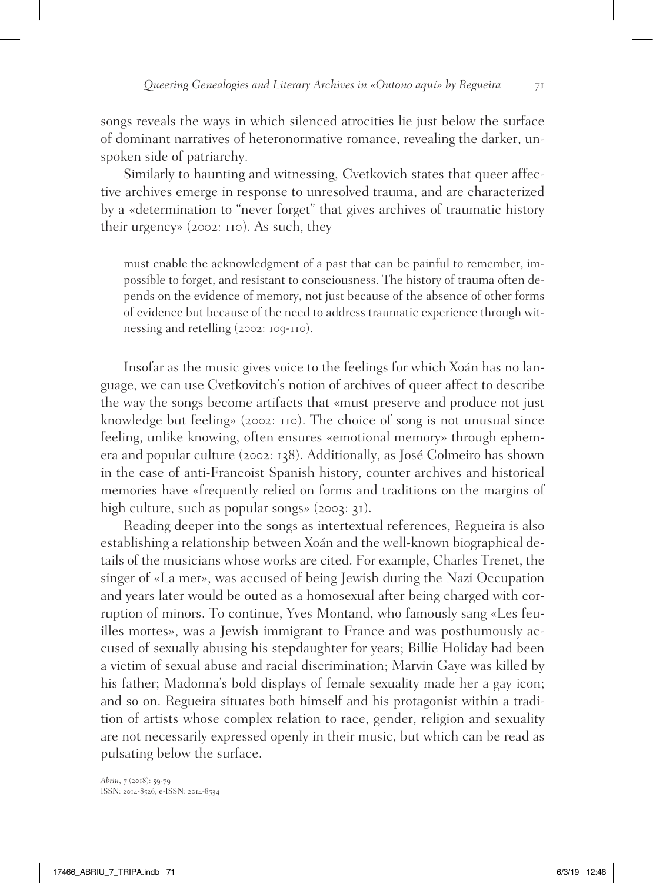songs reveals the ways in which silenced atrocities lie just below the surface of dominant narratives of heteronormative romance, revealing the darker, unspoken side of patriarchy.

Similarly to haunting and witnessing, Cvetkovich states that queer affective archives emerge in response to unresolved trauma, and are characterized by a «determination to "never forget" that gives archives of traumatic history their urgency» (2002: 110). As such, they

must enable the acknowledgment of a past that can be painful to remember, impossible to forget, and resistant to consciousness. The history of trauma often depends on the evidence of memory, not just because of the absence of other forms of evidence but because of the need to address traumatic experience through witnessing and retelling (2002: 109-110).

Insofar as the music gives voice to the feelings for which Xoán has no language, we can use Cvetkovitch's notion of archives of queer affect to describe the way the songs become artifacts that «must preserve and produce not just knowledge but feeling» (2002: 110). The choice of song is not unusual since feeling, unlike knowing, often ensures «emotional memory» through ephemera and popular culture (2002: 138). Additionally, as José Colmeiro has shown in the case of anti-Francoist Spanish history, counter archives and historical memories have «frequently relied on forms and traditions on the margins of high culture, such as popular songs» (2003: 31).

Reading deeper into the songs as intertextual references, Regueira is also establishing a relationship between Xoán and the well-known biographical details of the musicians whose works are cited. For example, Charles Trenet, the singer of «La mer», was accused of being Jewish during the Nazi Occupation and years later would be outed as a homosexual after being charged with corruption of minors. To continue, Yves Montand, who famously sang «Les feuilles mortes», was a Jewish immigrant to France and was posthumously accused of sexually abusing his stepdaughter for years; Billie Holiday had been a victim of sexual abuse and racial discrimination; Marvin Gaye was killed by his father; Madonna's bold displays of female sexuality made her a gay icon; and so on. Regueira situates both himself and his protagonist within a tradition of artists whose complex relation to race, gender, religion and sexuality are not necessarily expressed openly in their music, but which can be read as pulsating below the surface.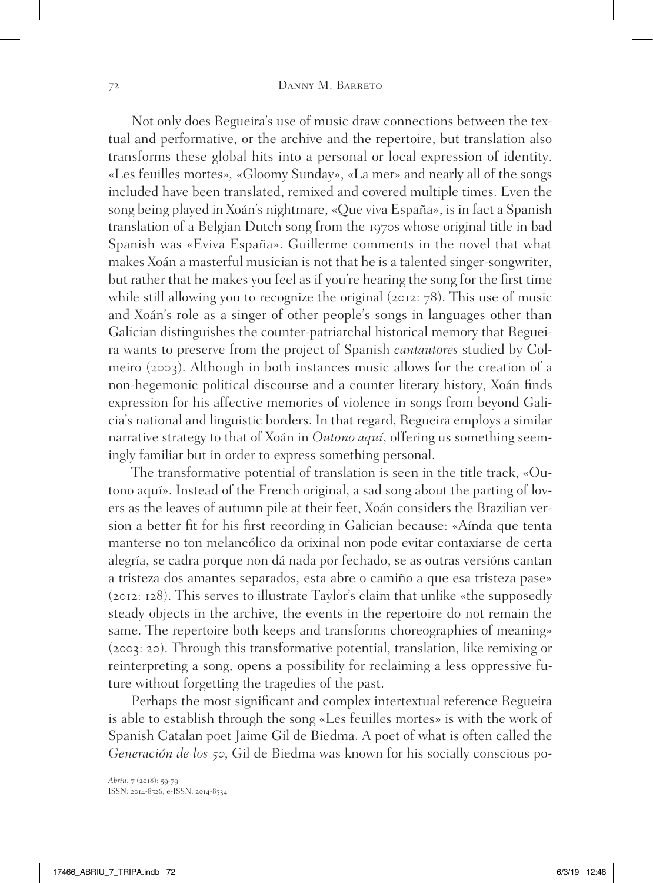Not only does Regueira's use of music draw connections between the textual and performative, or the archive and the repertoire, but translation also transforms these global hits into a personal or local expression of identity. «Les feuilles mortes»*,* «Gloomy Sunday», «La mer» and nearly all of the songs included have been translated, remixed and covered multiple times. Even the song being played in Xoán's nightmare, «Que viva España», is in fact a Spanish translation of a Belgian Dutch song from the 1970s whose original title in bad Spanish was «Eviva España». Guillerme comments in the novel that what makes Xoán a masterful musician is not that he is a talented singer-songwriter, but rather that he makes you feel as if you're hearing the song for the first time while still allowing you to recognize the original (2012: 78). This use of music and Xoán's role as a singer of other people's songs in languages other than Galician distinguishes the counter-patriarchal historical memory that Regueira wants to preserve from the project of Spanish *cantautores* studied by Colmeiro (2003). Although in both instances music allows for the creation of a non-hegemonic political discourse and a counter literary history, Xoán finds expression for his affective memories of violence in songs from beyond Galicia's national and linguistic borders. In that regard, Regueira employs a similar narrative strategy to that of Xoán in *Outono aquí*, offering us something seemingly familiar but in order to express something personal.

The transformative potential of translation is seen in the title track, «Outono aquí». Instead of the French original, a sad song about the parting of lovers as the leaves of autumn pile at their feet, Xoán considers the Brazilian version a better fit for his first recording in Galician because: «Aínda que tenta manterse no ton melancólico da orixinal non pode evitar contaxiarse de certa alegría, se cadra porque non dá nada por fechado, se as outras versións cantan a tristeza dos amantes separados, esta abre o camiño a que esa tristeza pase» (2012: 128). This serves to illustrate Taylor's claim that unlike «the supposedly steady objects in the archive, the events in the repertoire do not remain the same. The repertoire both keeps and transforms choreographies of meaning» (2003: 20). Through this transformative potential, translation, like remixing or reinterpreting a song, opens a possibility for reclaiming a less oppressive future without forgetting the tragedies of the past.

Perhaps the most significant and complex intertextual reference Regueira is able to establish through the song «Les feuilles mortes» is with the work of Spanish Catalan poet Jaime Gil de Biedma. A poet of what is often called the *Generación de los* 50, Gil de Biedma was known for his socially conscious po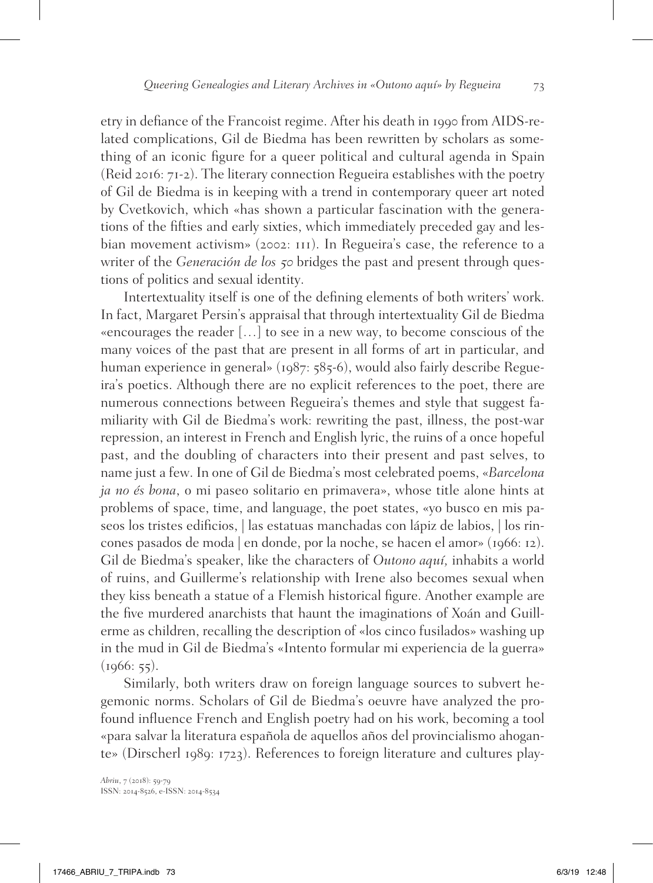etry in defiance of the Francoist regime. After his death in 1990 from AIDS-related complications, Gil de Biedma has been rewritten by scholars as something of an iconic figure for a queer political and cultural agenda in Spain (Reid 2016: 71-2). The literary connection Regueira establishes with the poetry of Gil de Biedma is in keeping with a trend in contemporary queer art noted by Cvetkovich, which «has shown a particular fascination with the generations of the fifties and early sixties, which immediately preceded gay and lesbian movement activism» (2002: 111). In Regueira's case, the reference to a writer of the *Generación de los* 50 bridges the past and present through questions of politics and sexual identity.

Intertextuality itself is one of the defining elements of both writers' work. In fact, Margaret Persin's appraisal that through intertextuality Gil de Biedma «encourages the reader […] to see in a new way, to become conscious of the many voices of the past that are present in all forms of art in particular, and human experience in general» (1987: 585-6), would also fairly describe Regueira's poetics. Although there are no explicit references to the poet, there are numerous connections between Regueira's themes and style that suggest familiarity with Gil de Biedma's work: rewriting the past, illness, the post-war repression, an interest in French and English lyric, the ruins of a once hopeful past, and the doubling of characters into their present and past selves, to name just a few. In one of Gil de Biedma's most celebrated poems, «*Barcelona ja no és bona*, o mi paseo solitario en primavera», whose title alone hints at problems of space, time, and language, the poet states, «yo busco en mis paseos los tristes edificios, | las estatuas manchadas con lápiz de labios, | los rincones pasados de moda | en donde, por la noche, se hacen el amor» (1966: 12). Gil de Biedma's speaker, like the characters of *Outono aquí,* inhabits a world of ruins, and Guillerme's relationship with Irene also becomes sexual when they kiss beneath a statue of a Flemish historical figure. Another example are the five murdered anarchists that haunt the imaginations of Xoán and Guillerme as children, recalling the description of «los cinco fusilados» washing up in the mud in Gil de Biedma's «Intento formular mi experiencia de la guerra»  $(1966: 55)$ .

Similarly, both writers draw on foreign language sources to subvert hegemonic norms. Scholars of Gil de Biedma's oeuvre have analyzed the profound influence French and English poetry had on his work, becoming a tool «para salvar la literatura española de aquellos años del provincialismo ahogante» (Dirscherl 1989: 1723). References to foreign literature and cultures play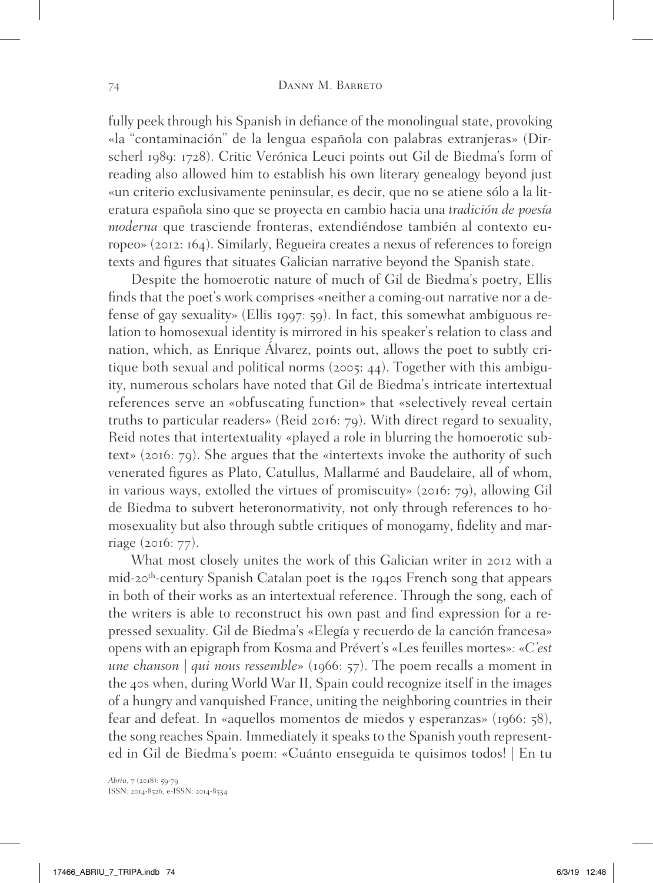fully peek through his Spanish in defiance of the monolingual state, provoking «la "contaminación" de la lengua española con palabras extranjeras» (Dirscherl 1989: 1728). Critic Verónica Leuci points out Gil de Biedma's form of reading also allowed him to establish his own literary genealogy beyond just «un criterio exclusivamente peninsular, es decir, que no se atiene sólo a la literatura española sino que se proyecta en cambio hacia una *tradición de poesía moderna* que trasciende fronteras, extendiéndose también al contexto europeo» (2012: 164). Similarly, Regueira creates a nexus of references to foreign texts and figures that situates Galician narrative beyond the Spanish state.

Despite the homoerotic nature of much of Gil de Biedma's poetry, Ellis finds that the poet's work comprises «neither a coming-out narrative nor a defense of gay sexuality» (Ellis 1997: 59). In fact, this somewhat ambiguous relation to homosexual identity is mirrored in his speaker's relation to class and nation, which, as Enrique Álvarez, points out, allows the poet to subtly critique both sexual and political norms (2005: 44). Together with this ambiguity, numerous scholars have noted that Gil de Biedma's intricate intertextual references serve an «obfuscating function» that «selectively reveal certain truths to particular readers» (Reid 2016: 79). With direct regard to sexuality, Reid notes that intertextuality «played a role in blurring the homoerotic subtext» (2016: 79). She argues that the «intertexts invoke the authority of such venerated figures as Plato, Catullus, Mallarmé and Baudelaire, all of whom, in various ways, extolled the virtues of promiscuity» (2016: 79), allowing Gil de Biedma to subvert heteronormativity, not only through references to homosexuality but also through subtle critiques of monogamy, fidelity and marriage (2016: 77).

What most closely unites the work of this Galician writer in 2012 with a mid-20th-century Spanish Catalan poet is the 1940s French song that appears in both of their works as an intertextual reference. Through the song, each of the writers is able to reconstruct his own past and find expression for a repressed sexuality. Gil de Biedma's «Elegía y recuerdo de la canción francesa» opens with an epigraph from Kosma and Prévert's «Les feuilles mortes»*:* «*C'est une chanson* | *qui nous ressemble*» (1966: 57). The poem recalls a moment in the 40s when, during World War II, Spain could recognize itself in the images of a hungry and vanquished France, uniting the neighboring countries in their fear and defeat. In «aquellos momentos de miedos y esperanzas» (1966: 58), the song reaches Spain. Immediately it speaks to the Spanish youth represented in Gil de Biedma's poem: «Cuánto enseguida te quisimos todos! | En tu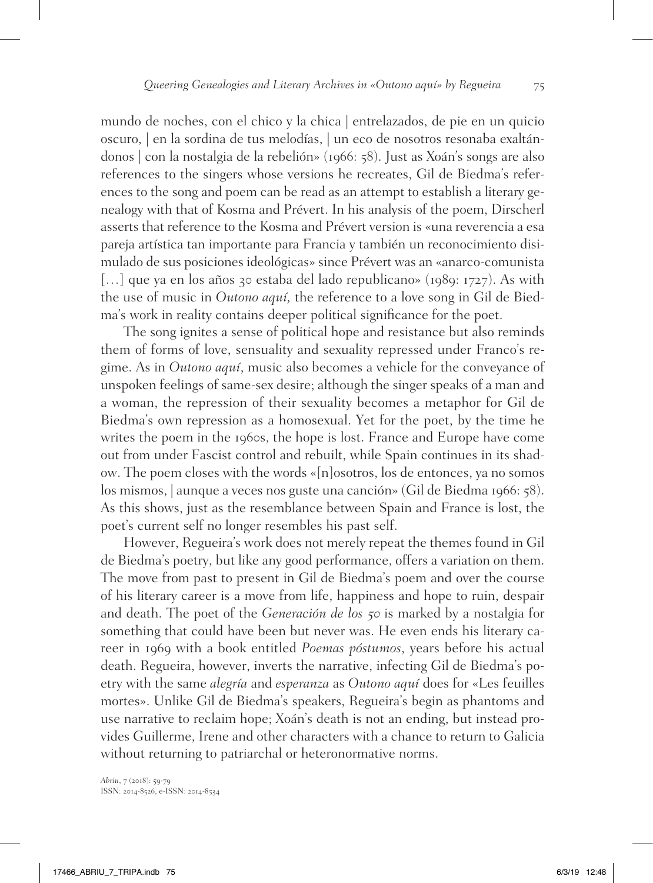mundo de noches, con el chico y la chica | entrelazados, de pie en un quicio oscuro, | en la sordina de tus melodías, | un eco de nosotros resonaba exaltándonos | con la nostalgia de la rebelión» (1966: 58). Just as Xoán's songs are also references to the singers whose versions he recreates, Gil de Biedma's references to the song and poem can be read as an attempt to establish a literary genealogy with that of Kosma and Prévert. In his analysis of the poem, Dirscherl asserts that reference to the Kosma and Prévert version is «una reverencia a esa pareja artística tan importante para Francia y también un reconocimiento disimulado de sus posiciones ideológicas» since Prévert was an «anarco-comunista [...] que ya en los años 30 estaba del lado republicano» (1989: 1727). As with the use of music in *Outono aquí,* the reference to a love song in Gil de Biedma's work in reality contains deeper political significance for the poet.

The song ignites a sense of political hope and resistance but also reminds them of forms of love, sensuality and sexuality repressed under Franco's regime. As in *Outono aquí*, music also becomes a vehicle for the conveyance of unspoken feelings of same-sex desire; although the singer speaks of a man and a woman, the repression of their sexuality becomes a metaphor for Gil de Biedma's own repression as a homosexual. Yet for the poet, by the time he writes the poem in the 1960s, the hope is lost. France and Europe have come out from under Fascist control and rebuilt, while Spain continues in its shadow. The poem closes with the words «[n]osotros, los de entonces, ya no somos los mismos, | aunque a veces nos guste una canción» (Gil de Biedma 1966: 58). As this shows, just as the resemblance between Spain and France is lost, the poet's current self no longer resembles his past self.

However, Regueira's work does not merely repeat the themes found in Gil de Biedma's poetry, but like any good performance, offers a variation on them. The move from past to present in Gil de Biedma's poem and over the course of his literary career is a move from life, happiness and hope to ruin, despair and death. The poet of the *Generación de los* 50 is marked by a nostalgia for something that could have been but never was. He even ends his literary career in 1969 with a book entitled *Poemas póstumos*, years before his actual death. Regueira, however, inverts the narrative, infecting Gil de Biedma's poetry with the same *alegría* and *esperanza* as *Outono aquí* does for «Les feuilles mortes». Unlike Gil de Biedma's speakers, Regueira's begin as phantoms and use narrative to reclaim hope; Xoán's death is not an ending, but instead provides Guillerme, Irene and other characters with a chance to return to Galicia without returning to patriarchal or heteronormative norms.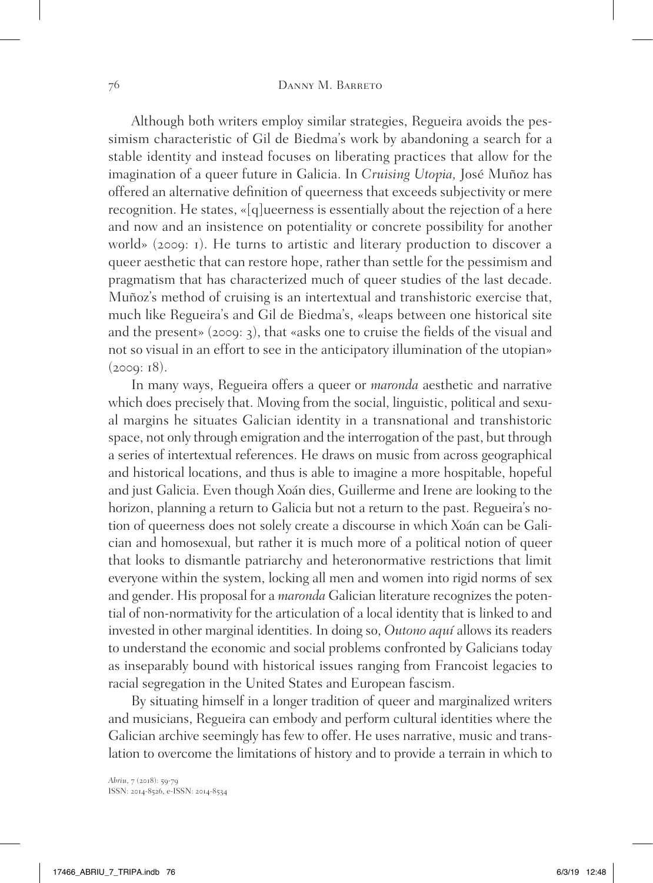Although both writers employ similar strategies, Regueira avoids the pessimism characteristic of Gil de Biedma's work by abandoning a search for a stable identity and instead focuses on liberating practices that allow for the imagination of a queer future in Galicia. In *Cruising Utopia,* José Muñoz has offered an alternative definition of queerness that exceeds subjectivity or mere recognition. He states, «[q]ueerness is essentially about the rejection of a here and now and an insistence on potentiality or concrete possibility for another world» (2009: 1). He turns to artistic and literary production to discover a queer aesthetic that can restore hope, rather than settle for the pessimism and pragmatism that has characterized much of queer studies of the last decade. Muñoz's method of cruising is an intertextual and transhistoric exercise that, much like Regueira's and Gil de Biedma's, «leaps between one historical site and the present» (2009: 3), that «asks one to cruise the fields of the visual and not so visual in an effort to see in the anticipatory illumination of the utopian»  $(2009:18).$ 

In many ways, Regueira offers a queer or *maronda* aesthetic and narrative which does precisely that. Moving from the social, linguistic, political and sexual margins he situates Galician identity in a transnational and transhistoric space, not only through emigration and the interrogation of the past, but through a series of intertextual references. He draws on music from across geographical and historical locations, and thus is able to imagine a more hospitable, hopeful and just Galicia. Even though Xoán dies, Guillerme and Irene are looking to the horizon, planning a return to Galicia but not a return to the past. Regueira's notion of queerness does not solely create a discourse in which Xoán can be Galician and homosexual, but rather it is much more of a political notion of queer that looks to dismantle patriarchy and heteronormative restrictions that limit everyone within the system, locking all men and women into rigid norms of sex and gender. His proposal for a *maronda* Galician literature recognizes the potential of non-normativity for the articulation of a local identity that is linked to and invested in other marginal identities. In doing so, *Outono aquí* allows its readers to understand the economic and social problems confronted by Galicians today as inseparably bound with historical issues ranging from Francoist legacies to racial segregation in the United States and European fascism.

By situating himself in a longer tradition of queer and marginalized writers and musicians, Regueira can embody and perform cultural identities where the Galician archive seemingly has few to offer. He uses narrative, music and translation to overcome the limitations of history and to provide a terrain in which to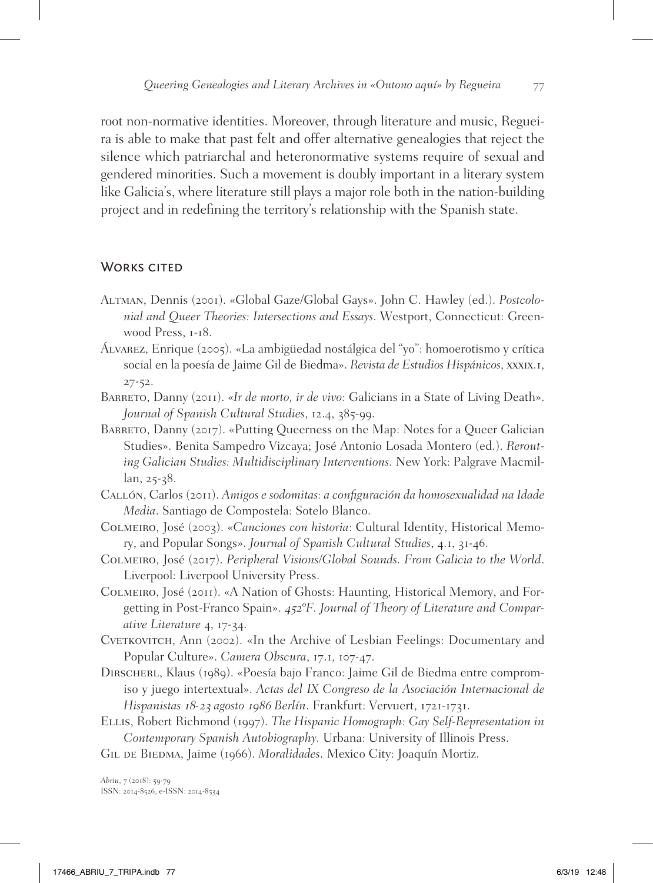root non-normative identities. Moreover, through literature and music, Regueira is able to make that past felt and offer alternative genealogies that reject the silence which patriarchal and heteronormative systems require of sexual and gendered minorities. Such a movement is doubly important in a literary system like Galicia's, where literature still plays a major role both in the nation-building project and in redefining the territory's relationship with the Spanish state.

## WORKS CITED

- Altman, Dennis (2001). «Global Gaze/Global Gays». John C. Hawley (ed.). *Postcolonial and Queer Theories: Intersections and Essays*. Westport, Connecticut: Greenwood Press, 1-18.
- Álvarez, Enrique (2005). «La ambigüedad nostálgica del "yo": homoerotismo y crítica social en la poesía de Jaime Gil de Biedma». *Revista de Estudios Hispánicos*, xxxix.1, 27-52.
- BARRETO, Danny (2011). «*Ir de morto, ir de vivo: Galicians in a State of Living Death*». *Journal of Spanish Cultural Studies*, 12.4, 385-99.
- BARRETO, Danny (2017). «Putting Queerness on the Map: Notes for a Queer Galician Studies». Benita Sampedro Vizcaya; José Antonio Losada Montero (ed.). *Rerouting Galician Studies: Multidisciplinary Interventions.* New York: Palgrave Macmillan, 25-38.
- Callón, Carlos (2011). *Amigos e sodomitas: a configuración da homosexualidad na Idade Media*. Santiago de Compostela: Sotelo Blanco.
- Colmeiro, José (2003). «*Canciones con historia*: Cultural Identity, Historical Memory, and Popular Songs». *Journal of Spanish Cultural Studies*, 4.1, 31-46.
- Colmeiro, José (2017). *Peripheral Visions/Global Sounds. From Galicia to the World*. Liverpool: Liverpool University Press.
- Colmeiro, José (2011). «A Nation of Ghosts: Haunting, Historical Memory, and Forgetting in Post-Franco Spain». 452*ºF. Journal of Theory of Literature and Comparative Literature* 4, 17-34.
- Cvetkovitch, Ann (2002). «In the Archive of Lesbian Feelings: Documentary and Popular Culture». *Camera Obscura*, 17.1, 107-47.
- Dirscherl, Klaus (1989). «Poesía bajo Franco: Jaime Gil de Biedma entre compromiso y juego intertextual». *Actas del IX Congreso de la Asociación Internacional de Hispanistas* 18*-*23 *agosto* 19<sup>86</sup> *Berlín*. Frankfurt: Vervuert, 1721-1731.
- Ellis, Robert Richmond (1997). *The Hispanic Homograph: Gay Self-Representation in Contemporary Spanish Autobiography.* Urbana: University of Illinois Press.
- GIL DE BIEDMA, Jaime (1966). *Moralidades*. Mexico City: Joaquín Mortiz.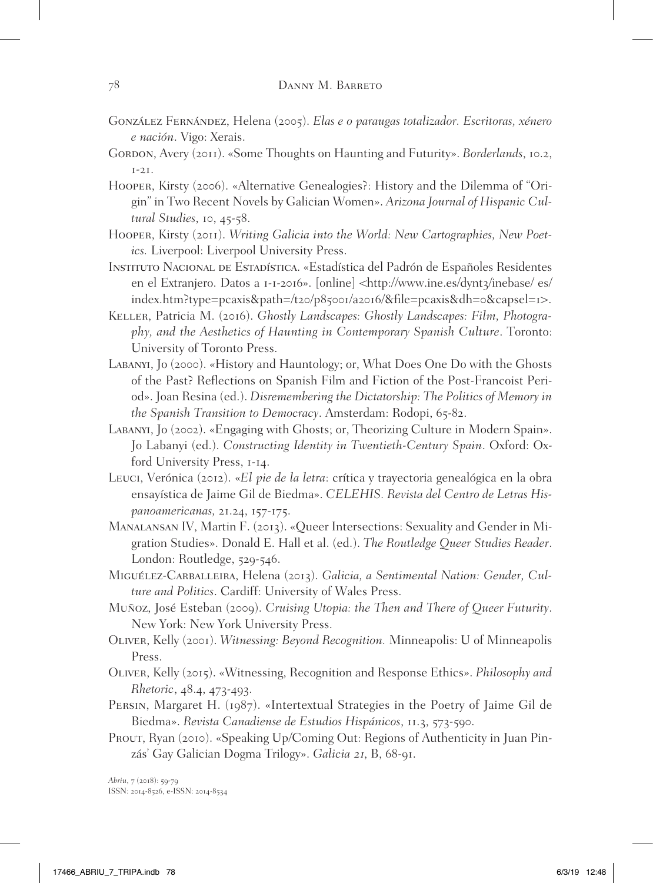- González Fernández, Helena (2005). *Elas e o paraugas totalizador. Escritoras, xénero e nación*. Vigo: Xerais.
- Gordon, Avery (2011). «Some Thoughts on Haunting and Futurity». *Borderlands*, 10.2, 1-21.
- Hooper, Kirsty (2006). «Alternative Genealogies?: History and the Dilemma of "Origin" in Two Recent Novels by Galician Women». *Arizona Journal of Hispanic Cultural Studies*, 10, 45-58.
- Hooper, Kirsty (2011). *Writing Galicia into the World: New Cartographies, New Poetics.* Liverpool: Liverpool University Press.
- Instituto Nacional de Estadística. «Estadística del Padrón de Españoles Residentes en el Extranjero. Datos a 1-1-2016». [online] <http://www.ine.es/dynt3/inebase/ es/ index.htm?type=pcaxis&path=/t20/p85001/a2016/&file=pcaxis&dh=0&capsel=1>.
- Keller, Patricia M. (2016). *Ghostly Landscapes: Ghostly Landscapes: Film, Photography, and the Aesthetics of Haunting in Contemporary Spanish Culture*. Toronto: University of Toronto Press.
- Labanyi, Jo (2000). «History and Hauntology; or, What Does One Do with the Ghosts of the Past? Reflections on Spanish Film and Fiction of the Post-Francoist Period». Joan Resina (ed.). *Disremembering the Dictatorship: The Politics of Memory in the Spanish Transition to Democracy*. Amsterdam: Rodopi, 65-82.
- Labanyi, Jo (2002). «Engaging with Ghosts; or, Theorizing Culture in Modern Spain». Jo Labanyi (ed.). *Constructing Identity in Twentieth-Century Spain*. Oxford: Oxford University Press, 1-14.
- Leuci, Verónica (2012). «*El pie de la letra*: crítica y trayectoria genealógica en la obra ensayística de Jaime Gil de Biedma». *CELEHIS. Revista del Centro de Letras Hispanoamericanas,* 21.24, 157-175.
- Manalansan IV, Martin F. (2013). «Queer Intersections: Sexuality and Gender in Migration Studies». Donald E. Hall et al. (ed.). *The Routledge Queer Studies Reader*. London: Routledge, 529-546.
- Miguélez-Carballeira, Helena (2013). *Galicia, a Sentimental Nation: Gender, Culture and Politics*. Cardiff: University of Wales Press.
- Muñoz, José Esteban (2009). *Cruising Utopia: the Then and There of Queer Futurity*. New York: New York University Press.
- Oliver, Kelly (2001). *Witnessing: Beyond Recognition.* Minneapolis: U of Minneapolis Press.
- Oliver, Kelly (2015). «Witnessing, Recognition and Response Ethics». *Philosophy and Rhetoric*, 48.4, 473-493.
- Persin, Margaret H. (1987). «Intertextual Strategies in the Poetry of Jaime Gil de Biedma». *Revista Canadiense de Estudios Hispánicos*, 11.3, 573-590.
- PROUT, Ryan (2010). «Speaking Up/Coming Out: Regions of Authenticity in Juan Pinzás' Gay Galician Dogma Trilogy». *Galicia* 21, B, 68-91.